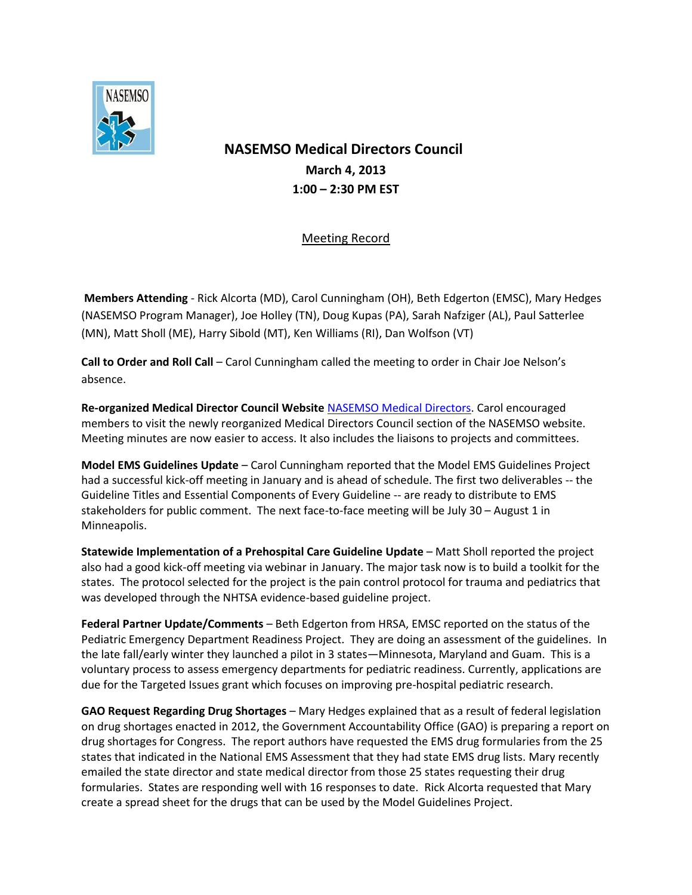

## **NASEMSO Medical Directors Council March 4, 2013 1:00 – 2:30 PM EST**

## Meeting Record

**Members Attending** - Rick Alcorta (MD), Carol Cunningham (OH), Beth Edgerton (EMSC), Mary Hedges (NASEMSO Program Manager), Joe Holley (TN), Doug Kupas (PA), Sarah Nafziger (AL), Paul Satterlee (MN), Matt Sholl (ME), Harry Sibold (MT), Ken Williams (RI), Dan Wolfson (VT)

**Call to Order and Roll Call** – Carol Cunningham called the meeting to order in Chair Joe Nelson's absence.

**Re-organized Medical Director Council Website** [NASEMSO Medical Directors.](https://www.nasemso.org/Councils/MedicalDirectors/) Carol encouraged members to visit the newly reorganized Medical Directors Council section of the NASEMSO website. Meeting minutes are now easier to access. It also includes the liaisons to projects and committees.

**Model EMS Guidelines Update** – Carol Cunningham reported that the Model EMS Guidelines Project had a successful kick-off meeting in January and is ahead of schedule. The first two deliverables -- the Guideline Titles and Essential Components of Every Guideline -- are ready to distribute to EMS stakeholders for public comment. The next face-to-face meeting will be July 30 – August 1 in Minneapolis.

**Statewide Implementation of a Prehospital Care Guideline Update** – Matt Sholl reported the project also had a good kick-off meeting via webinar in January. The major task now is to build a toolkit for the states. The protocol selected for the project is the pain control protocol for trauma and pediatrics that was developed through the NHTSA evidence-based guideline project.

**Federal Partner Update/Comments** – Beth Edgerton from HRSA, EMSC reported on the status of the Pediatric Emergency Department Readiness Project. They are doing an assessment of the guidelines. In the late fall/early winter they launched a pilot in 3 states—Minnesota, Maryland and Guam. This is a voluntary process to assess emergency departments for pediatric readiness. Currently, applications are due for the Targeted Issues grant which focuses on improving pre-hospital pediatric research.

**GAO Request Regarding Drug Shortages** – Mary Hedges explained that as a result of federal legislation on drug shortages enacted in 2012, the Government Accountability Office (GAO) is preparing a report on drug shortages for Congress. The report authors have requested the EMS drug formularies from the 25 states that indicated in the National EMS Assessment that they had state EMS drug lists. Mary recently emailed the state director and state medical director from those 25 states requesting their drug formularies. States are responding well with 16 responses to date. Rick Alcorta requested that Mary create a spread sheet for the drugs that can be used by the Model Guidelines Project.